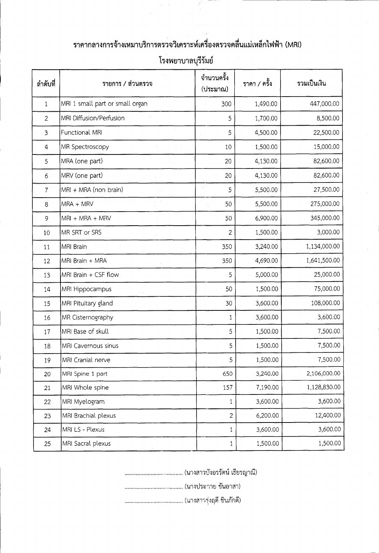| ลำดับที        | รายการ / ส่วนตรวจ               | ้จำนวนครั้ง<br>(ประมาณ) | ราคา / ครั้ง | รวมเป็นเงิน  |
|----------------|---------------------------------|-------------------------|--------------|--------------|
| $\mathbf{1}$   | MRI 1 small part or small organ | 300                     | 1,490.00     | 447,000.00   |
| $\overline{2}$ | MRI Diffusion/Perfusion         | 5                       | 1,700.00     | 8,500.00     |
| 3              | Functional MRI                  | 5                       | 4,500.00     | 22,500.00    |
| 4              | MR Spectroscopy                 | 10                      | 1,500.00     | 15,000.00    |
| 5              | MRA (one part)                  | 20                      | 4,130.00     | 82,600.00    |
| 6              | MRV (one part)                  | 20                      | 4,130.00     | 82,600.00    |
| $\overline{7}$ | MRI + MRA (non brain)           | цY.<br>5                | 5,500.00     | 27,500.00    |
| 8              | MRA + MRV                       | 50                      | 5,500.00     | 275,000.00   |
| 9              | $MRI + MRA + MRV$               | 50                      | 6,900.00     | 345,000.00   |
| 10             | MR SRT or SRS                   | $\overline{2}$          | 1,500.00     | 3,000.00     |
| 11             | MRI Brain                       | 350                     | 3,240.00     | 1,134,000.00 |
| 12             | MRI Brain + MRA                 | 350                     | 4,690.00     | 1,641,500.00 |
| 13             | MRI Brain + CSF flow            | 5                       | 5,000.00     | 25,000.00    |
| 14             | MRI Hippocampus                 | 50                      | 1,500.00     | 75,000.00    |
| 15             | MRI Pituitary gland             | 30                      | 3,600.00     | 108,000.00   |
| 16             | MR Cisternography               | 1                       | 3,600.00     | 3,600.00     |
| 17             | MRI Base of skull               | 5                       | 1,500.00     | 7,500.00     |
| 18             | MRI Cavernous sinus             | 5                       | 1,500.00     | 7,500.00     |
| 19             | MRI Cranial nerve               | 5                       | 1,500.00     | 7,500.00     |
| 20             | MRI Spine 1 part                | 650                     | 3,240.00     | 2,106,000.00 |
| 21             | MRI Whole spine                 | 157                     | 7,190.00     | 1,128,830.00 |
| 22             | MRI Myelogram                   | $\mathbf{1}$            | 3,600.00     | 3,600.00     |
| 23             | MRI Brachial plexus             | $\overline{2}$          | 6,200.00     | 12,400.00    |
| 24             | MRI LS - Plexus                 | $\mathbf{1}$            | 3,600.00     | 3,600.00     |
| 25             | MRI Sacral plexus               | $\mathbf{1}$            | 1,500.00     | 1,500.00     |

## ราคากลางการจ้างเหมาบริการตรวจวิเคราะห์เครื่องตรวจคลื่นแม่เหล็กไฟฟ้า (MRI)

โรงพยาบาลบุรีรัมย์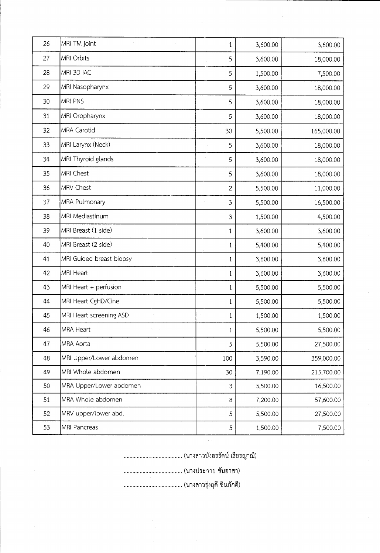| 26 | MRI TM joint             | 1              | 3,600.00 | 3,600.00   |
|----|--------------------------|----------------|----------|------------|
| 27 | MRI Orbits               | 5              | 3,600.00 | 18,000.00  |
| 28 | MRI 3D IAC               | 5              | 1,500.00 | 7,500.00   |
| 29 | MRI Nasopharynx          | 5              | 3,600.00 | 18,000.00  |
| 30 | MRI PNS                  | 5              | 3,600.00 | 18,000.00  |
| 31 | MRI Oropharynx           | 5              | 3,600.00 | 18,000.00  |
| 32 | <b>MRA Carotid</b>       | 30             | 5,500.00 | 165,000.00 |
| 33 | MRI Larynx (Neck)        | 5              | 3,600.00 | 18,000.00  |
| 34 | MRI Thyroid glands       | 5              | 3,600.00 | 18,000.00  |
| 35 | MRI Chest                | 5              | 3,600.00 | 18,000.00  |
| 36 | MRV Chest                | $\overline{2}$ | 5,500.00 | 11,000.00  |
| 37 | MRA Pulmonary            | 3              | 5,500.00 | 16,500.00  |
| 38 | MRI Mediastinum          | 3              | 1,500.00 | 4,500.00   |
| 39 | MRI Breast (1 side)      | $\mathbf 1$    | 3,600.00 | 3,600.00   |
| 40 | MRI Breast (2 side)      | $\mathbf{1}$   | 5,400.00 | 5,400.00   |
| 41 | MRI Guided breast biopsy | 1              | 3,600.00 | 3,600.00   |
| 42 | MRI Heart                | 1              | 3,600.00 | 3,600.00   |
| 43 | MRI Heart + perfusion    | $\mathbf 1$    | 5,500.00 | 5,500.00   |
| 44 | MRI Heart CgHD/Cine      | 1              | 5,500.00 | 5,500.00   |
| 45 | MRI Heart screening ASD  | 1              | 1,500.00 | 1,500.00   |
| 46 | MRA Heart<br>North Corp. | $\mathbf{1}$   | 5,500.00 | 5,500.00   |
| 47 | MRA Aorta                | 5              | 5,500.00 | 27,500.00  |
| 48 | MRI Upper/Lower abdomen  | 100            | 3,590.00 | 359,000.00 |
| 49 | MRI Whole abdomen        | 30             | 7,190.00 | 215,700.00 |
| 50 | MRA Upper/Lower abdomen  | 3              | 5,500.00 | 16,500.00  |
| 51 | MRA Whole abdomen        | 8              | 7,200.00 | 57,600.00  |
| 52 | MRV upper/lower abd.     | 5              | 5,500.00 | 27,500.00  |
| 53 | MRI Pancreas             | 5              | 1,500.00 | 7,500.00   |